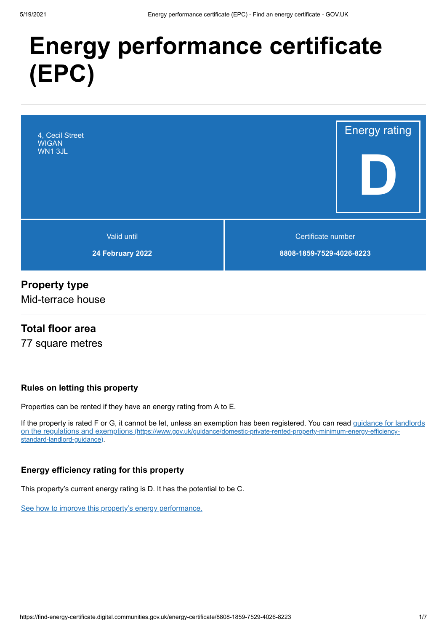# **Energy performance certificate (EPC)**



## **Property type**

Mid-terrace house

### **Total floor area**

77 square metres

#### **Rules on letting this property**

Properties can be rented if they have an energy rating from A to E.

[If the property is rated F or G, it cannot be let, unless an exemption has been registered. You can read guidance for landlords](https://www.gov.uk/guidance/domestic-private-rented-property-minimum-energy-efficiency-standard-landlord-guidance) on the regulations and exemptions (https://www.gov.uk/guidance/domestic-private-rented-property-minimum-energy-efficiencystandard-landlord-guidance).

#### **Energy efficiency rating for this property**

This property's current energy rating is D. It has the potential to be C.

[See how to improve this property's energy performance.](#page-3-0)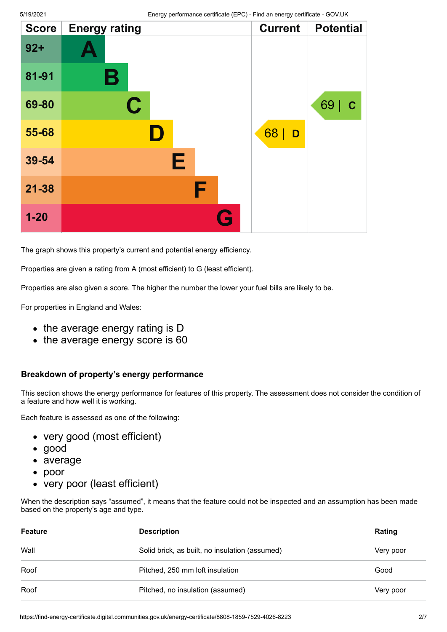| <b>Score</b> | <b>Energy rating</b> | <b>Current</b> | <b>Potential</b>  |
|--------------|----------------------|----------------|-------------------|
| $92 +$       |                      |                |                   |
| 81-91        | Β                    |                |                   |
| 69-80        | $\mathbf C$          |                | 69<br>$\mathbf C$ |
| 55-68        | ID.                  | 68<br>D        |                   |
| 39-54        | Е                    |                |                   |
| $21 - 38$    | F                    |                |                   |
| $1 - 20$     | G                    |                |                   |

The graph shows this property's current and potential energy efficiency.

Properties are given a rating from A (most efficient) to G (least efficient).

Properties are also given a score. The higher the number the lower your fuel bills are likely to be.

For properties in England and Wales:

- the average energy rating is D
- the average energy score is 60

#### **Breakdown of property's energy performance**

This section shows the energy performance for features of this property. The assessment does not consider the condition of a feature and how well it is working.

Each feature is assessed as one of the following:

- very good (most efficient)
- good
- average
- poor  $\bullet$
- very poor (least efficient)

When the description says "assumed", it means that the feature could not be inspected and an assumption has been made based on the property's age and type.

| Feature | <b>Description</b>                             |           |
|---------|------------------------------------------------|-----------|
| Wall    | Solid brick, as built, no insulation (assumed) | Very poor |
| Roof    | Pitched, 250 mm loft insulation                | Good      |
| Roof    | Pitched, no insulation (assumed)               | Very poor |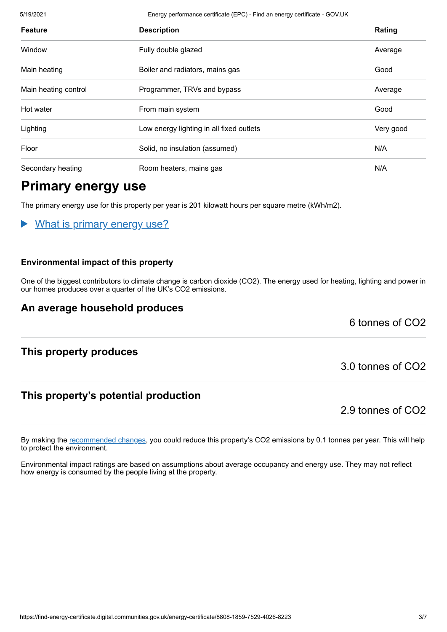5/19/2021 Energy performance certificate (EPC) - Find an energy certificate - GOV.UK

| <b>Feature</b>       | <b>Description</b>                       | Rating    |
|----------------------|------------------------------------------|-----------|
| Window               | Fully double glazed                      | Average   |
| Main heating         | Boiler and radiators, mains gas          | Good      |
| Main heating control | Programmer, TRVs and bypass              | Average   |
| Hot water            | From main system                         | Good      |
| Lighting             | Low energy lighting in all fixed outlets | Very good |
| Floor                | Solid, no insulation (assumed)           | N/A       |
| Secondary heating    | Room heaters, mains gas                  | N/A       |

# **Primary energy use**

The primary energy use for this property per year is 201 kilowatt hours per square metre (kWh/m2).

What is primary energy use?

#### **Environmental impact of this property**

One of the biggest contributors to climate change is carbon dioxide (CO2). The energy used for heating, lighting and power in our homes produces over a quarter of the UK's CO2 emissions.

# **An average household produces**

6 tonnes of CO2

# **This property produces**

# **This property's potential production**

2.9 tonnes of CO2

3.0 tonnes of CO2

By making the [recommended changes](#page-3-0), you could reduce this property's CO2 emissions by 0.1 tonnes per year. This will help to protect the environment.

Environmental impact ratings are based on assumptions about average occupancy and energy use. They may not reflect how energy is consumed by the people living at the property.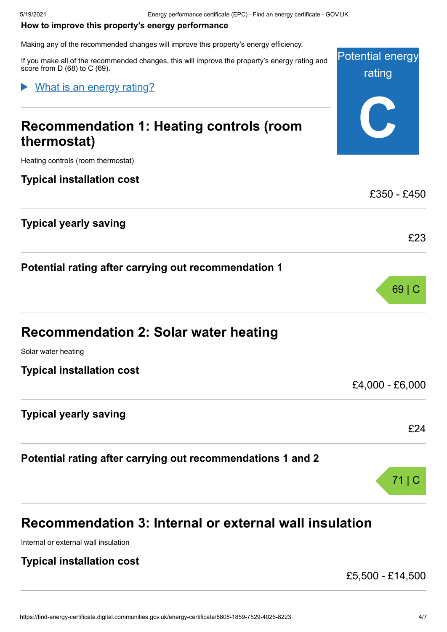Solar water heating

**Typical installation cost**

**Typical yearly saving**

Internal or external wall insulation

**Typical installation cost**

#### <span id="page-3-0"></span>**How to improve this property's energy performance**

Making any of the recommended changes will improve this property's energy efficiency.

Potential energy rating **C** If you make all of the recommended changes, this will improve the property's energy rating and score from D (68) to C (69). **Recommendation 1: Heating controls (room thermostat)** Heating controls (room thermostat) **Typical installation cost**  $f350 - f450$ **Typical yearly saving** £23 **Potential rating after carrying out recommendation 1** What is an energy rating?

**Potential rating after carrying out recommendations 1 and 2**

**Recommendation 3: Internal or external wall insulation**

**Recommendation 2: Solar water heating**

69 | C

£4,000 - £6,000

£24

71 | C

£5,500 - £14,500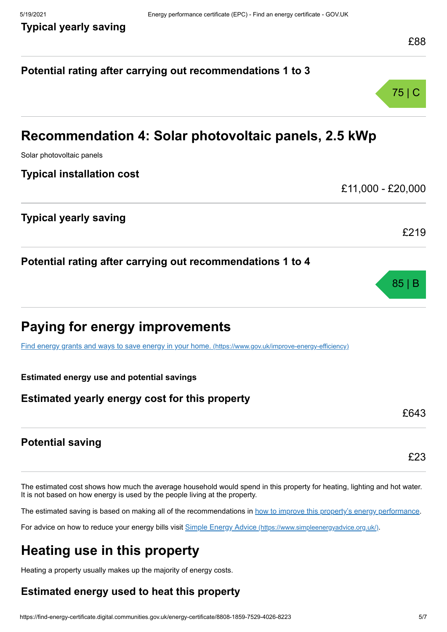# **Potential rating after carrying out recommendations 1 to 3** 75 | C **Recommendation 4: Solar photovoltaic panels, 2.5 kWp** Solar photovoltaic panels **Typical installation cost** £11,000 - £20,000 **Typical yearly saving** £219 **Potential rating after carrying out recommendations 1 to 4** 85 | B **Paying for energy improvements** [Find energy grants and ways to save energy in your home.](https://www.gov.uk/improve-energy-efficiency) (https://www.gov.uk/improve-energy-efficiency) **Estimated energy use and potential savings Estimated yearly energy cost for this property** £643 **Potential saving** £23

The estimated cost shows how much the average household would spend in this property for heating, lighting and hot water. It is not based on how energy is used by the people living at the property.

The estimated saving is based on making all of the recommendations in [how to improve this property's energy performance.](#page-3-0)

For advice on how to reduce your energy bills visit Simple Energy Advice [\(https://www.simpleenergyadvice.org.uk/\)](https://www.simpleenergyadvice.org.uk/).

# **Heating use in this property**

Heating a property usually makes up the majority of energy costs.

# **Estimated energy used to heat this property**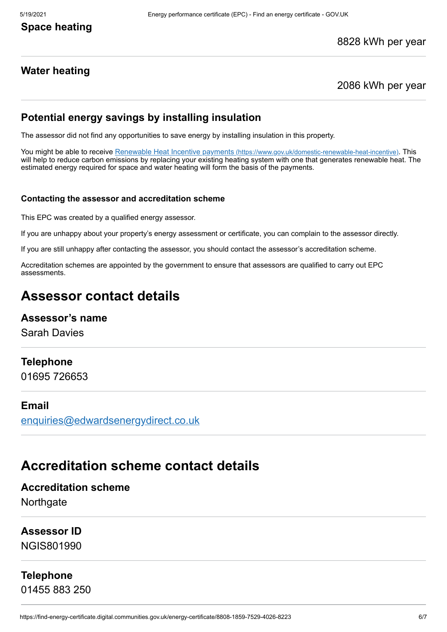#### 8828 kWh per year

### **Water heating**

#### 2086 kWh per year

#### **Potential energy savings by installing insulation**

The assessor did not find any opportunities to save energy by installing insulation in this property.

You might be able to receive Renewable Heat Incentive payments [\(https://www.gov.uk/domestic-renewable-heat-incentive\)](https://www.gov.uk/domestic-renewable-heat-incentive). This will help to reduce carbon emissions by replacing your existing heating system with one that generates renewable heat. The estimated energy required for space and water heating will form the basis of the payments.

#### **Contacting the assessor and accreditation scheme**

This EPC was created by a qualified energy assessor.

If you are unhappy about your property's energy assessment or certificate, you can complain to the assessor directly.

If you are still unhappy after contacting the assessor, you should contact the assessor's accreditation scheme.

Accreditation schemes are appointed by the government to ensure that assessors are qualified to carry out EPC assessments.

# **Assessor contact details**

#### **Assessor's name**

Sarah Davies

#### **Telephone**

01695 726653

#### **Email**

[enquiries@edwardsenergydirect.co.uk](mailto:enquiries@edwardsenergydirect.co.uk)

# **Accreditation scheme contact details**

#### **Accreditation scheme**

**Northgate** 

#### **Assessor ID**

NGIS801990

#### **Telephone**

01455 883 250